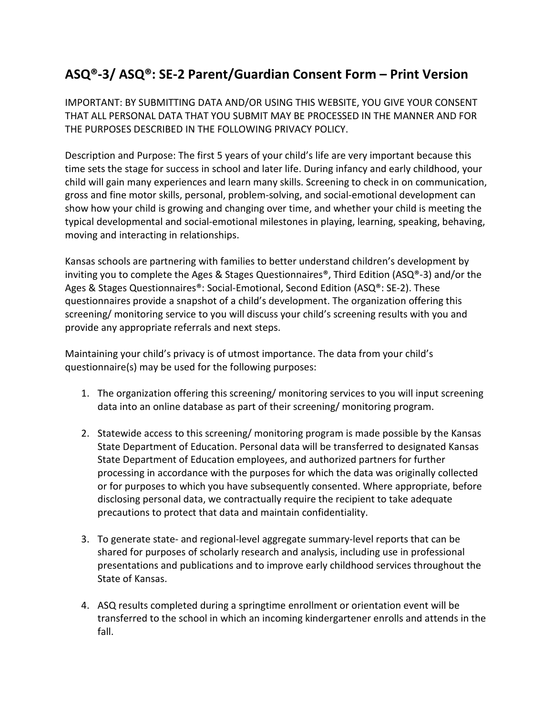## **ASQ®-3/ ASQ®: SE-2 Parent/Guardian Consent Form – Print Version**

IMPORTANT: BY SUBMITTING DATA AND/OR USING THIS WEBSITE, YOU GIVE YOUR CONSENT THAT ALL PERSONAL DATA THAT YOU SUBMIT MAY BE PROCESSED IN THE MANNER AND FOR THE PURPOSES DESCRIBED IN THE FOLLOWING PRIVACY POLICY.

Description and Purpose: The first 5 years of your child's life are very important because this time sets the stage for success in school and later life. During infancy and early childhood, your child will gain many experiences and learn many skills. Screening to check in on communication, gross and fine motor skills, personal, problem-solving, and social-emotional development can show how your child is growing and changing over time, and whether your child is meeting the typical developmental and social-emotional milestones in playing, learning, speaking, behaving, moving and interacting in relationships.

Kansas schools are partnering with families to better understand children's development by inviting you to complete the Ages & Stages Questionnaires®, Third Edition (ASQ®-3) and/or the Ages & Stages Questionnaires®: Social-Emotional, Second Edition (ASQ®: SE-2). These questionnaires provide a snapshot of a child's development. The organization offering this screening/ monitoring service to you will discuss your child's screening results with you and provide any appropriate referrals and next steps.

Maintaining your child's privacy is of utmost importance. The data from your child's questionnaire(s) may be used for the following purposes:

- 1. The organization offering this screening/ monitoring services to you will input screening data into an online database as part of their screening/ monitoring program.
- 2. Statewide access to this screening/ monitoring program is made possible by the Kansas State Department of Education. Personal data will be transferred to designated Kansas State Department of Education employees, and authorized partners for further processing in accordance with the purposes for which the data was originally collected or for purposes to which you have subsequently consented. Where appropriate, before disclosing personal data, we contractually require the recipient to take adequate precautions to protect that data and maintain confidentiality.
- 3. To generate state- and regional-level aggregate summary-level reports that can be shared for purposes of scholarly research and analysis, including use in professional presentations and publications and to improve early childhood services throughout the State of Kansas.
- 4. ASQ results completed during a springtime enrollment or orientation event will be transferred to the school in which an incoming kindergartener enrolls and attends in the fall.